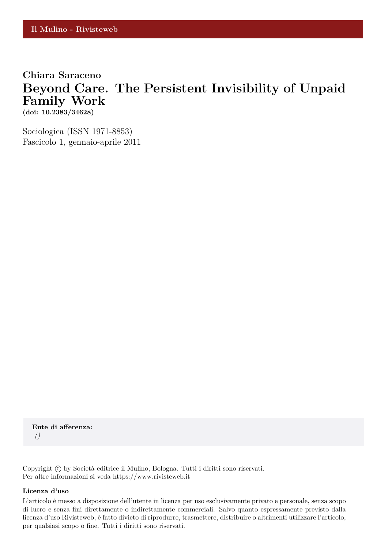# **Chiara Saraceno Beyond Care. The Persistent Invisibility of Unpaid Family Work (doi: 10.2383/34628)**

Sociologica (ISSN 1971-8853) Fascicolo 1, gennaio-aprile 2011

**Ente di afferenza:** *()*

Copyright © by Società editrice il Mulino, Bologna. Tutti i diritti sono riservati. Per altre informazioni si veda https://www.rivisteweb.it

#### **Licenza d'uso**

L'articolo è messo a disposizione dell'utente in licenza per uso esclusivamente privato e personale, senza scopo di lucro e senza fini direttamente o indirettamente commerciali. Salvo quanto espressamente previsto dalla licenza d'uso Rivisteweb, è fatto divieto di riprodurre, trasmettere, distribuire o altrimenti utilizzare l'articolo, per qualsiasi scopo o fine. Tutti i diritti sono riservati.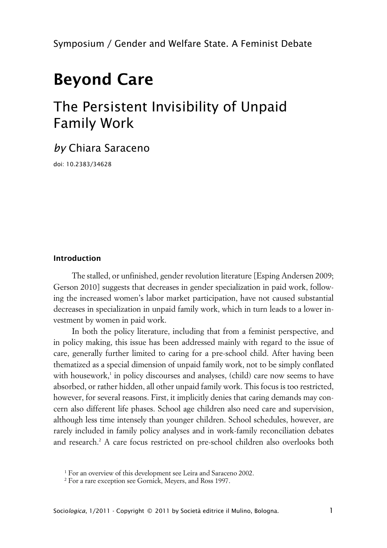# **Beyond Care**

# The Persistent Invisibility of Unpaid Family Work

# *by* Chiara Saraceno

doi: 10.2383/34628

#### **Introduction**

The stalled, or unfinished, gender revolution literature [Esping Andersen 2009; Gerson 2010] suggests that decreases in gender specialization in paid work, following the increased women's labor market participation, have not caused substantial decreases in specialization in unpaid family work, which in turn leads to a lower investment by women in paid work.

In both the policy literature, including that from a feminist perspective, and in policy making, this issue has been addressed mainly with regard to the issue of care, generally further limited to caring for a pre-school child. After having been thematized as a special dimension of unpaid family work, not to be simply conflated with housework,<sup>1</sup> in policy discourses and analyses, (child) care now seems to have absorbed, or rather hidden, all other unpaid family work. This focus is too restricted, however, for several reasons. First, it implicitly denies that caring demands may concern also different life phases. School age children also need care and supervision, although less time intensely than younger children. School schedules, however, are rarely included in family policy analyses and in work-family reconciliation debates and research.<sup>2</sup> A care focus restricted on pre-school children also overlooks both

<sup>&</sup>lt;sup>1</sup> For an overview of this development see Leira and Saraceno 2002.

<sup>2</sup> For a rare exception see Gornick, Meyers, and Ross 1997.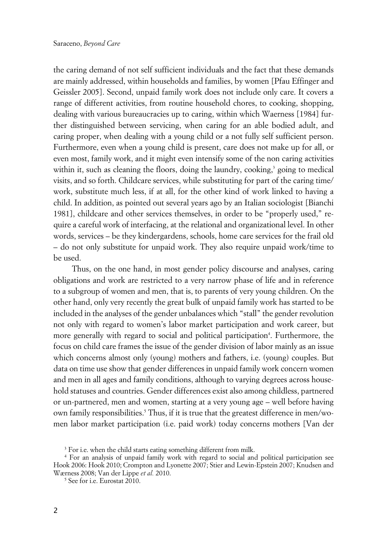the caring demand of not self sufficient individuals and the fact that these demands are mainly addressed, within households and families, by women [Pfau Effinger and Geissler 2005]. Second, unpaid family work does not include only care. It covers a range of different activities, from routine household chores, to cooking, shopping, dealing with various bureaucracies up to caring, within which Waerness [1984] further distinguished between servicing, when caring for an able bodied adult, and caring proper, when dealing with a young child or a not fully self sufficient person. Furthermore, even when a young child is present, care does not make up for all, or even most, family work, and it might even intensify some of the non caring activities within it, such as cleaning the floors, doing the laundry, cooking,<sup>3</sup> going to medical visits, and so forth. Childcare services, while substituting for part of the caring time/ work, substitute much less, if at all, for the other kind of work linked to having a child. In addition, as pointed out several years ago by an Italian sociologist [Bianchi 1981], childcare and other services themselves, in order to be "properly used," require a careful work of interfacing, at the relational and organizational level. In other words, services – be they kindergardens, schools, home care services for the frail old – do not only substitute for unpaid work. They also require unpaid work/time to be used.

Thus, on the one hand, in most gender policy discourse and analyses, caring obligations and work are restricted to a very narrow phase of life and in reference to a subgroup of women and men, that is, to parents of very young children. On the other hand, only very recently the great bulk of unpaid family work has started to be included in the analyses of the gender unbalances which "stall" the gender revolution not only with regard to women's labor market participation and work career, but more generally with regard to social and political participation<sup>4</sup>. Furthermore, the focus on child care frames the issue of the gender division of labor mainly as an issue which concerns almost only (young) mothers and fathers, i.e. (young) couples. But data on time use show that gender differences in unpaid family work concern women and men in all ages and family conditions, although to varying degrees across household statuses and countries. Gender differences exist also among childless, partnered or un-partnered, men and women, starting at a very young age – well before having own family responsibilities.<sup>5</sup> Thus, if it is true that the greatest difference in men/women labor market participation (i.e. paid work) today concerns mothers [Van der

 $3$  For i.e. when the child starts eating something different from milk.

<sup>4</sup> For an analysis of unpaid family work with regard to social and political participation see Hook 2006: Hook 2010; Crompton and Lyonette 2007; Stier and Lewin-Epstein 2007; Knudsen and Wærness 2008; Van der Lippe *et al.* 2010.

<sup>5</sup> See for i.e. Eurostat 2010.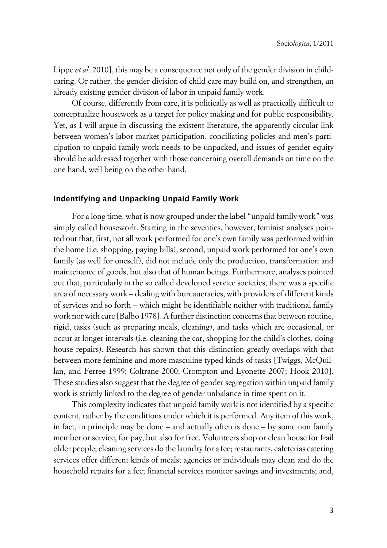Lippe *et al.* 2010], this may be a consequence not only of the gender division in childcaring. Or rather, the gender division of child care may build on, and strengthen, an already existing gender division of labor in unpaid family work.

Of course, differently from care, it is politically as well as practically difficult to conceptualize housework as a target for policy making and for public responsibility. Yet, as I will argue in discussing the existent literature, the apparently circular link between women's labor market participation, conciliating policies and men's participation to unpaid family work needs to be unpacked, and issues of gender equity should be addressed together with those concerning overall demands on time on the one hand, well being on the other hand.

#### **xIndentifying and Unpacking Unpaid Family Work**

For a long time, what is now grouped under the label "unpaid family work" was simply called housework. Starting in the seventies, however, feminist analyses pointed out that, first, not all work performed for one's own family was performed within the home (i.e. shopping, paying bills), second, unpaid work performed for one's own family (as well for oneself), did not include only the production, transformation and maintenance of goods, but also that of human beings. Furthermore, analyses pointed out that, particularly in the so called developed service societies, there was a specific area of necessary work – dealing with bureaucracies, with providers of different kinds of services and so forth – which might be identifiable neither with traditional family work nor with care [Balbo 1978]. A further distinction concerns that between routine, rigid, tasks (such as preparing meals, cleaning), and tasks which are occasional, or occur at longer intervals (i.e. cleaning the car, shopping for the child's clothes, doing house repairs). Research has shown that this distinction greatly overlaps with that between more feminine and more masculine typed kinds of tasks [Twiggs, McQuillan, and Ferree 1999; Coltrane 2000; Crompton and Lyonette 2007; Hook 2010]. These studies also suggest that the degree of gender segregation within unpaid family work is strictly linked to the degree of gender unbalance in time spent on it.

This complexity indicates that unpaid family work is not identified by a specific content, rather by the conditions under which it is performed. Any item of this work, in fact, in principle may be done – and actually often is done – by some non family member or service, for pay, but also for free. Volunteers shop or clean house for frail older people; cleaning services do the laundry for a fee; restaurants, cafeterias catering services offer different kinds of meals; agencies or individuals may clean and do the household repairs for a fee; financial services monitor savings and investments; and,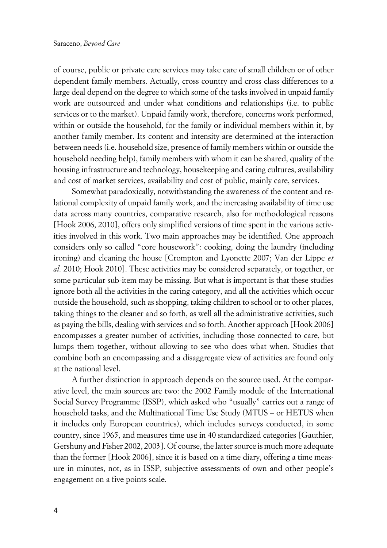of course, public or private care services may take care of small children or of other dependent family members. Actually, cross country and cross class differences to a large deal depend on the degree to which some of the tasks involved in unpaid family work are outsourced and under what conditions and relationships (i.e. to public services or to the market). Unpaid family work, therefore, concerns work performed, within or outside the household, for the family or individual members within it, by another family member. Its content and intensity are determined at the interaction between needs (i.e. household size, presence of family members within or outside the household needing help), family members with whom it can be shared, quality of the housing infrastructure and technology, housekeeping and caring cultures, availability and cost of market services, availability and cost of public, mainly care, services.

Somewhat paradoxically, notwithstanding the awareness of the content and relational complexity of unpaid family work, and the increasing availability of time use data across many countries, comparative research, also for methodological reasons [Hook 2006, 2010], offers only simplified versions of time spent in the various activities involved in this work. Two main approaches may be identified. One approach considers only so called "core housework": cooking, doing the laundry (including ironing) and cleaning the house [Crompton and Lyonette 2007; Van der Lippe *et al.* 2010; Hook 2010]. These activities may be considered separately, or together, or some particular sub-item may be missing. But what is important is that these studies ignore both all the activities in the caring category, and all the activities which occur outside the household, such as shopping, taking children to school or to other places, taking things to the cleaner and so forth, as well all the administrative activities, such as paying the bills, dealing with services and so forth. Another approach [Hook 2006] encompasses a greater number of activities, including those connected to care, but lumps them together, without allowing to see who does what when. Studies that combine both an encompassing and a disaggregate view of activities are found only at the national level.

A further distinction in approach depends on the source used. At the comparative level, the main sources are two: the 2002 Family module of the International Social Survey Programme (ISSP), which asked who "usually" carries out a range of household tasks, and the Multinational Time Use Study (MTUS – or HETUS when it includes only European countries), which includes surveys conducted, in some country, since 1965, and measures time use in 40 standardized categories [Gauthier, Gershuny and Fisher 2002, 2003]. Of course, the latter source is much more adequate than the former [Hook 2006], since it is based on a time diary, offering a time measure in minutes, not, as in ISSP, subjective assessments of own and other people's engagement on a five points scale.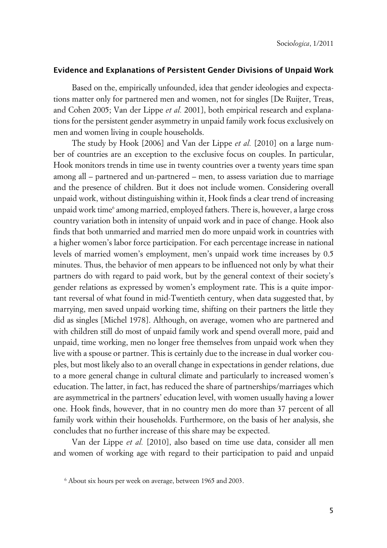#### **xEvidence and Explanations of Persistent Gender Divisions of Unpaid Work**

Based on the, empirically unfounded, idea that gender ideologies and expectations matter only for partnered men and women, not for singles [De Ruijter, Treas, and Cohen 2005; Van der Lippe *et al.* 2001], both empirical research and explanations for the persistent gender asymmetry in unpaid family work focus exclusively on men and women living in couple households.

The study by Hook [2006] and Van der Lippe *et al.* [2010] on a large number of countries are an exception to the exclusive focus on couples. In particular, Hook monitors trends in time use in twenty countries over a twenty years time span among all – partnered and un-partnered – men, to assess variation due to marriage and the presence of children. But it does not include women. Considering overall unpaid work, without distinguishing within it, Hook finds a clear trend of increasing unpaid work time<sup>6</sup> among married, employed fathers. There is, however, a large cross country variation both in intensity of unpaid work and in pace of change. Hook also finds that both unmarried and married men do more unpaid work in countries with a higher women's labor force participation. For each percentage increase in national levels of married women's employment, men's unpaid work time increases by 0.5 minutes. Thus, the behavior of men appears to be influenced not only by what their partners do with regard to paid work, but by the general context of their society's gender relations as expressed by women's employment rate. This is a quite important reversal of what found in mid-Twentieth century, when data suggested that, by marrying, men saved unpaid working time, shifting on their partners the little they did as singles [Michel 1978]. Although, on average, women who are partnered and with children still do most of unpaid family work and spend overall more, paid and unpaid, time working, men no longer free themselves from unpaid work when they live with a spouse or partner. This is certainly due to the increase in dual worker couples, but most likely also to an overall change in expectations in gender relations, due to a more general change in cultural climate and particularly to increased women's education. The latter, in fact, has reduced the share of partnerships/marriages which are asymmetrical in the partners' education level, with women usually having a lower one. Hook finds, however, that in no country men do more than 37 percent of all family work within their households. Furthermore, on the basis of her analysis, she concludes that no further increase of this share may be expected.

Van der Lippe *et al.* [2010], also based on time use data, consider all men and women of working age with regard to their participation to paid and unpaid

<sup>6</sup> About six hours per week on average, between 1965 and 2003.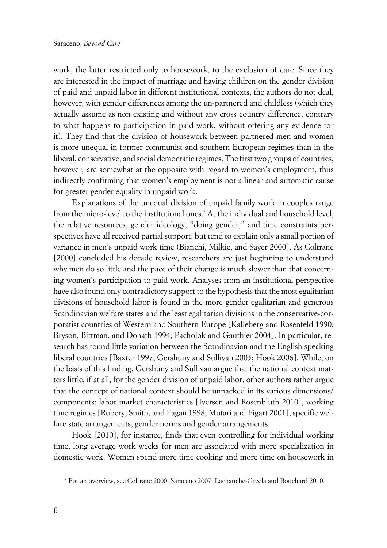work, the latter restricted only to housework, to the exclusion of care. Since they are interested in the impact of marriage and having children on the gender division of paid and unpaid labor in different institutional contexts, the authors do not deal, however, with gender differences among the un-partnered and childless (which they actually assume as non existing and without any cross country difference, contrary to what happens to participation in paid work, without offering any evidence for it). They find that the division of housework between partnered men and women is more unequal in former communist and southern European regimes than in the liberal, conservative, and social democratic regimes. The first two groups of countries, however, are somewhat at the opposite with regard to women's employment, thus indirectly confirming that women's employment is not a linear and automatic cause for greater gender equality in unpaid work.

Explanations of the unequal division of unpaid family work in couples range from the micro-level to the institutional ones.<sup>7</sup> At the individual and household level, the relative resources, gender ideology, "doing gender," and time constraints perspectives have all received partial support, but tend to explain only a small portion of variance in men's unpaid work time (Bianchi, Milkie, and Sayer 2000]. As Coltrane [2000] concluded his decade review, researchers are just beginning to understand why men do so little and the pace of their change is much slower than that concerning women's participation to paid work. Analyses from an institutional perspective have also found only contradictory support to the hypothesis that the most egalitarian divisions of household labor is found in the more gender egalitarian and generous Scandinavian welfare states and the least egalitarian divisions in the conservative-corporatist countries of Western and Southern Europe [Kalleberg and Rosenfeld 1990; Bryson, Bittman, and Donath 1994; Pacholok and Gauthier 2004]. In particular, research has found little variation between the Scandinavian and the English speaking liberal countries [Baxter 1997; Gershuny and Sullivan 2003; Hook 2006]. While, on the basis of this finding, Gershuny and Sullivan argue that the national context matters little, if at all, for the gender division of unpaid labor, other authors rather argue that the concept of national context should be unpacked in its various dimensions/ components: labor market characteristics [Iversen and Rosenbluth 2010], working time regimes [Rubery, Smith, and Fagan 1998; Mutari and Figart 2001], specific welfare state arrangements, gender norms and gender arrangements.

Hook [2010], for instance, finds that even controlling for individual working time, long average work weeks for men are associated with more specialization in domestic work. Women spend more time cooking and more time on housework in

<sup>7</sup> For an overview, see Coltrane 2000; Saraceno 2007; Lachanche-Grzela and Bouchard 2010.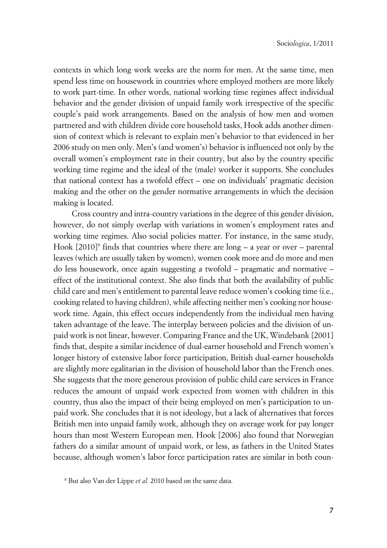contexts in which long work weeks are the norm for men. At the same time, men spend less time on housework in countries where employed mothers are more likely to work part-time. In other words, national working time regimes affect individual behavior and the gender division of unpaid family work irrespective of the specific couple's paid work arrangements. Based on the analysis of how men and women partnered and with children divide core household tasks, Hook adds another dimension of context which is relevant to explain men's behavior to that evidenced in her 2006 study on men only. Men's (and women's) behavior is influenced not only by the overall women's employment rate in their country, but also by the country specific working time regime and the ideal of the (male) worker it supports. She concludes that national context has a twofold effect – one on individuals' pragmatic decision making and the other on the gender normative arrangements in which the decision making is located.

Cross country and intra-country variations in the degree of this gender division, however, do not simply overlap with variations in women's employment rates and working time regimes. Also social policies matter. For instance, in the same study, Hook [2010]<sup>8</sup> finds that countries where there are long – a year or over – parental leaves (which are usually taken by women), women cook more and do more and men do less housework, once again suggesting a twofold – pragmatic and normative – effect of the institutional context. She also finds that both the availability of public child care and men's entitlement to parental leave reduce women's cooking time (i.e., cooking related to having children), while affecting neither men's cooking nor housework time. Again, this effect occurs independently from the individual men having taken advantage of the leave. The interplay between policies and the division of unpaid work is not linear, however. Comparing France and the UK, Windebank [2001] finds that, despite a similar incidence of dual-earner household and French women's longer history of extensive labor force participation, British dual-earner households are slightly more egalitarian in the division of household labor than the French ones. She suggests that the more generous provision of public child care services in France reduces the amount of unpaid work expected from women with children in this country, thus also the impact of their being employed on men's participation to unpaid work. She concludes that it is not ideology, but a lack of alternatives that forces British men into unpaid family work, although they on average work for pay longer hours than most Western European men. Hook [2006] also found that Norwegian fathers do a similar amount of unpaid work, or less, as fathers in the United States because, although women's labor force participation rates are similar in both coun-

<sup>8</sup> But also Van der Lippe *et al.* 2010 based on the same data.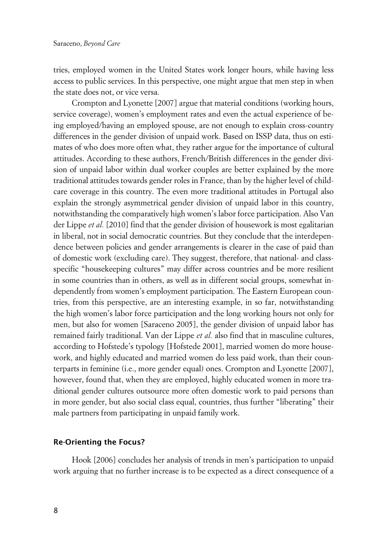tries, employed women in the United States work longer hours, while having less access to public services. In this perspective, one might argue that men step in when the state does not, or vice versa.

Crompton and Lyonette [2007] argue that material conditions (working hours, service coverage), women's employment rates and even the actual experience of being employed/having an employed spouse, are not enough to explain cross-country differences in the gender division of unpaid work. Based on ISSP data, thus on estimates of who does more often what, they rather argue for the importance of cultural attitudes. According to these authors, French/British differences in the gender division of unpaid labor within dual worker couples are better explained by the more traditional attitudes towards gender roles in France, than by the higher level of childcare coverage in this country. The even more traditional attitudes in Portugal also explain the strongly asymmetrical gender division of unpaid labor in this country, notwithstanding the comparatively high women's labor force participation. Also Van der Lippe *et al.* [2010] find that the gender division of housework is most egalitarian in liberal, not in social democratic countries. But they conclude that the interdependence between policies and gender arrangements is clearer in the case of paid than of domestic work (excluding care). They suggest, therefore, that national- and classspecific "housekeeping cultures" may differ across countries and be more resilient in some countries than in others, as well as in different social groups, somewhat independently from women's employment participation. The Eastern European countries, from this perspective, are an interesting example, in so far, notwithstanding the high women's labor force participation and the long working hours not only for men, but also for women [Saraceno 2005], the gender division of unpaid labor has remained fairly traditional. Van der Lippe *et al.* also find that in masculine cultures, according to Hofstede's typology [Hofstede 2001], married women do more housework, and highly educated and married women do less paid work, than their counterparts in feminine (i.e., more gender equal) ones. Crompton and Lyonette [2007], however, found that, when they are employed, highly educated women in more traditional gender cultures outsource more often domestic work to paid persons than in more gender, but also social class equal, countries, thus further "liberating" their male partners from participating in unpaid family work.

#### **xRe-Orienting the Focus?**

Hook [2006] concludes her analysis of trends in men's participation to unpaid work arguing that no further increase is to be expected as a direct consequence of a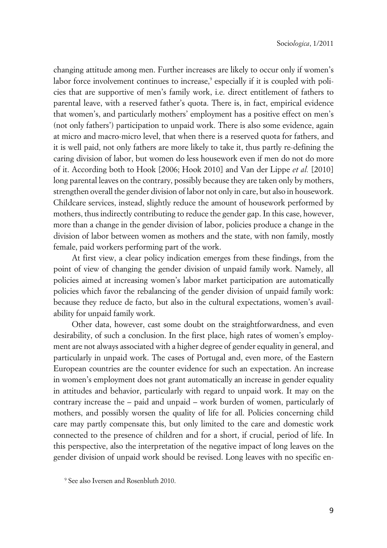changing attitude among men. Further increases are likely to occur only if women's labor force involvement continues to increase,<sup>9</sup> especially if it is coupled with policies that are supportive of men's family work, i.e. direct entitlement of fathers to parental leave, with a reserved father's quota. There is, in fact, empirical evidence that women's, and particularly mothers' employment has a positive effect on men's (not only fathers') participation to unpaid work. There is also some evidence, again at micro and macro-micro level, that when there is a reserved quota for fathers, and it is well paid, not only fathers are more likely to take it, thus partly re-defining the caring division of labor, but women do less housework even if men do not do more of it. According both to Hook [2006; Hook 2010] and Van der Lippe *et al.* [2010] long parental leaves on the contrary, possibly because they are taken only by mothers, strengthen overall the gender division of labor not only in care, but also in housework. Childcare services, instead, slightly reduce the amount of housework performed by mothers, thus indirectly contributing to reduce the gender gap. In this case, however, more than a change in the gender division of labor, policies produce a change in the division of labor between women as mothers and the state, with non family, mostly female, paid workers performing part of the work.

At first view, a clear policy indication emerges from these findings, from the point of view of changing the gender division of unpaid family work. Namely, all policies aimed at increasing women's labor market participation are automatically policies which favor the rebalancing of the gender division of unpaid family work: because they reduce de facto, but also in the cultural expectations, women's availability for unpaid family work.

Other data, however, cast some doubt on the straightforwardness, and even desirability, of such a conclusion. In the first place, high rates of women's employment are not always associated with a higher degree of gender equality in general, and particularly in unpaid work. The cases of Portugal and, even more, of the Eastern European countries are the counter evidence for such an expectation. An increase in women's employment does not grant automatically an increase in gender equality in attitudes and behavior, particularly with regard to unpaid work. It may on the contrary increase the – paid and unpaid – work burden of women, particularly of mothers, and possibly worsen the quality of life for all. Policies concerning child care may partly compensate this, but only limited to the care and domestic work connected to the presence of children and for a short, if crucial, period of life. In this perspective, also the interpretation of the negative impact of long leaves on the gender division of unpaid work should be revised. Long leaves with no specific en-

<sup>9</sup> See also Iversen and Rosenbluth 2010.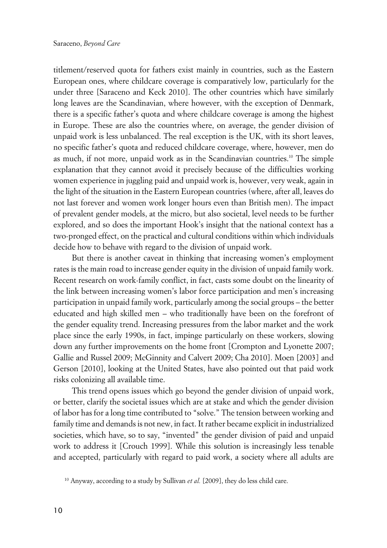titlement/reserved quota for fathers exist mainly in countries, such as the Eastern European ones, where childcare coverage is comparatively low, particularly for the under three [Saraceno and Keck 2010]. The other countries which have similarly long leaves are the Scandinavian, where however, with the exception of Denmark, there is a specific father's quota and where childcare coverage is among the highest in Europe. These are also the countries where, on average, the gender division of unpaid work is less unbalanced. The real exception is the UK, with its short leaves, no specific father's quota and reduced childcare coverage, where, however, men do as much, if not more, unpaid work as in the Scandinavian countries.<sup>10</sup> The simple explanation that they cannot avoid it precisely because of the difficulties working women experience in juggling paid and unpaid work is, however, very weak, again in the light of the situation in the Eastern European countries (where, after all, leaves do not last forever and women work longer hours even than British men). The impact of prevalent gender models, at the micro, but also societal, level needs to be further explored, and so does the important Hook's insight that the national context has a two-pronged effect, on the practical and cultural conditions within which individuals decide how to behave with regard to the division of unpaid work.

But there is another caveat in thinking that increasing women's employment rates is the main road to increase gender equity in the division of unpaid family work. Recent research on work-family conflict, in fact, casts some doubt on the linearity of the link between increasing women's labor force participation and men's increasing participation in unpaid family work, particularly among the social groups – the better educated and high skilled men – who traditionally have been on the forefront of the gender equality trend. Increasing pressures from the labor market and the work place since the early 1990s, in fact, impinge particularly on these workers, slowing down any further improvements on the home front [Crompton and Lyonette 2007; Gallie and Russel 2009; McGinnity and Calvert 2009; Cha 2010]. Moen [2003] and Gerson [2010], looking at the United States, have also pointed out that paid work risks colonizing all available time.

This trend opens issues which go beyond the gender division of unpaid work, or better, clarify the societal issues which are at stake and which the gender division of labor has for a long time contributed to "solve." The tension between working and family time and demands is not new, in fact. It rather became explicit in industrialized societies, which have, so to say, "invented" the gender division of paid and unpaid work to address it [Crouch 1999]. While this solution is increasingly less tenable and accepted, particularly with regard to paid work, a society where all adults are

<sup>&</sup>lt;sup>10</sup> Anyway, according to a study by Sullivan *et al.* [2009], they do less child care.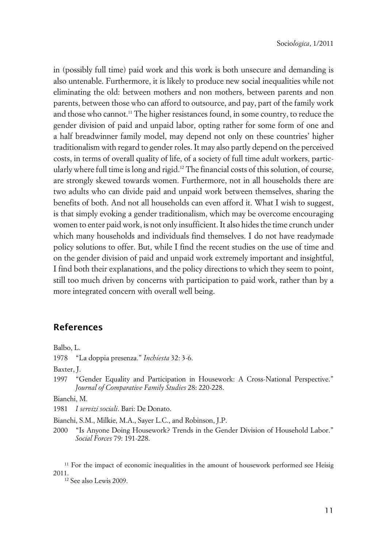in (possibly full time) paid work and this work is both unsecure and demanding is also untenable. Furthermore, it is likely to produce new social inequalities while not eliminating the old: between mothers and non mothers, between parents and non parents, between those who can afford to outsource, and pay, part of the family work and those who cannot.<sup>11</sup> The higher resistances found, in some country, to reduce the gender division of paid and unpaid labor, opting rather for some form of one and a half breadwinner family model, may depend not only on these countries' higher traditionalism with regard to gender roles. It may also partly depend on the perceived costs, in terms of overall quality of life, of a society of full time adult workers, particularly where full time is long and rigid.<sup>12</sup> The financial costs of this solution, of course, are strongly skewed towards women. Furthermore, not in all households there are two adults who can divide paid and unpaid work between themselves, sharing the benefits of both. And not all households can even afford it. What I wish to suggest, is that simply evoking a gender traditionalism, which may be overcome encouraging women to enter paid work, is not only insufficient. It also hides the time crunch under which many households and individuals find themselves. I do not have readymade policy solutions to offer. But, while I find the recent studies on the use of time and on the gender division of paid and unpaid work extremely important and insightful, I find both their explanations, and the policy directions to which they seem to point, still too much driven by concerns with participation to paid work, rather than by a more integrated concern with overall well being.

### **References**

Balbo, L.

1978 "La doppia presenza." *Inchiesta* 32: 3-6.

Baxter, J.

1997 "Gender Equality and Participation in Housework: A Cross-National Perspective." *Journal of Comparative Family Studies* 28: 220-228.

Bianchi, M.

1981 *I servizi sociali*. Bari: De Donato.

Bianchi, S.M., Milkie, M.A., Sayer L.C., and Robinson, J.P.

2000 "Is Anyone Doing Housework? Trends in the Gender Division of Household Labor." *Social Forces* 79: 191-228.

<sup>11</sup> For the impact of economic inequalities in the amount of housework performed see Heisig 2011.

12 See also Lewis 2009.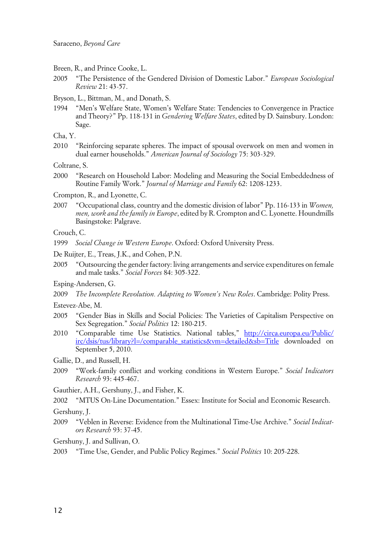- Breen, R., and Prince Cooke, L.
- 2005 "The Persistence of the Gendered Division of Domestic Labor." *European Sociological Review* 21: 43-57.
- Bryson, L., Bittman, M., and Donath, S.
- 1994 "Men's Welfare State, Women's Welfare State: Tendencies to Convergence in Practice and Theory?" Pp. 118-131 in *Gendering Welfare States*, edited by D. Sainsbury. London: Sage.

Cha, Y.

2010 "Reinforcing separate spheres. The impact of spousal overwork on men and women in dual earner households." *American Journal of Sociology* 75: 303-329.

Coltrane, S.

2000 "Research on Household Labor: Modeling and Measuring the Social Embeddedness of Routine Family Work." *Journal of Marriage and Family* 62: 1208-1233.

Crompton, R., and Lyonette, C.

2007 "Occupational class, country and the domestic division of labor" Pp. 116-133 in *Women, men, work and the family in Europe*, edited by R. Crompton and C. Lyonette. Houndmills Basingstoke: Palgrave.

Crouch, C.

- 1999 *Social Change in Western Europe*. Oxford: Oxford University Press.
- De Ruijter, E., Treas, J.K., and Cohen, P.N.
- 2005 "Outsourcing the gender factory: living arrangements and service expenditures on female and male tasks." *Social Forces* 84: 305-322.
- Esping-Andersen, G.
- 2009 *The Incomplete Revolution. Adapting to Women's New Roles*. Cambridge: Polity Press.

Estevez-Abe, M.

- 2005 "Gender Bias in Skills and Social Policies: The Varieties of Capitalism Perspective on Sex Segregation." *Social Politics* 12: 180-215.
- 2010 "Comparable time Use Statistics. National tables," [http://circa.europa.eu/Public/](http://circa.europa.eu/Public/irc/dsis/tus/library?l=?/comparable_statistics&vm=??detailed&sb=??Title?) [irc/dsis/tus/library?l=/comparable\\_statistics&vm=detailed&sb=Title](http://circa.europa.eu/Public/irc/dsis/tus/library?l=?/comparable_statistics&vm=??detailed&sb=??Title?) downloaded on September 5, 2010.
- Gallie, D., and Russell, H.
- 2009 "Work-family conflict and working conditions in Western Europe." *Social Indicators Research* 93: 445-467.
- Gauthier, A.H., Gershuny, J., and Fisher, K.
- 2002 "MTUS On-Line Documentation." Essex: Institute for Social and Economic Research.

Gershuny, J.

2009 "Veblen in Reverse: Evidence from the Multinational Time-Use Archive." *Social Indicators Research* 93: 37-45.

Gershuny, J. and Sullivan, O.

2003 "Time Use, Gender, and Public Policy Regimes." *Social Politics* 10: 205-228.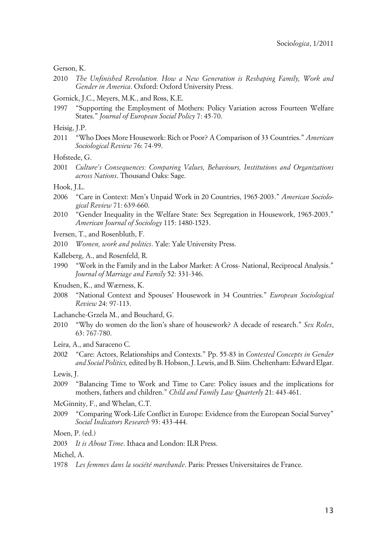Gerson, K.

2010 *The Unfinished Revolution. How a New Generation is Reshaping Family, Work and Gender in America*. Oxford: Oxford University Press.

Gornick, J.C., Meyers, M.K., and Ross, K.E.

1997 "Supporting the Employment of Mothers: Policy Variation across Fourteen Welfare States." *Journal of European Social Policy* 7: 45-70.

Heisig, J.P.

2011 "Who Does More Housework: Rich or Poor? A Comparison of 33 Countries." *American Sociological Review* 76: 74-99.

Hofstede, G.

2001 *Culture's Consequences: Comparing Values, Behaviours, Institutions and Organizations across Nations*. Thousand Oaks: Sage.

Hook, J.L.

- 2006 "Care in Context: Men's Unpaid Work in 20 Countries, 1965-2003." *American Sociological Review* 71: 639-660.
- 2010 "Gender Inequality in the Welfare State: Sex Segregation in Housework, 1965-2003." *American Journal of Sociology* 115: 1480-1523.
- Iversen, T., and Rosenbluth, F.
- 2010 *Women, work and politics*. Yale: Yale University Press.
- Kalleberg, A., and Rosenfeld, R.
- 1990 "Work in the Family and in the Labor Market: A Cross- National, Reciprocal Analysis." *Journal of Marriage and Family* 52: 331-346.
- Knudsen, K., and Wærness, K.
- 2008 "National Context and Spouses' Housework in 34 Countries." *European Sociological Review* 24: 97-113.
- Lachanche-Grzela M., and Bouchard, G.
- 2010 "Why do women do the lion's share of housework? A decade of research." *Sex Roles*, 63: 767-780.
- Leira, A., and Saraceno C.
- 2002 "Care: Actors, Relationships and Contexts." Pp. 55-83 in *Contested Concepts in Gender and Social Politics,* edited by B. Hobson, J. Lewis, and B. Siim. Cheltenham: Edward Elgar.

Lewis, J.

- 2009 "Balancing Time to Work and Time to Care: Policy issues and the implications for mothers, fathers and children." *Child and Family Law Quarterly* 21: 443-461.
- McGinnity, F., and Whelan, C.T.
- 2009 "Comparing Work-Life Conflict in Europe: Evidence from the European Social Survey" *Social Indicators Research* 93: 433-444.

Moen, P. (ed.)

2003 *It is About Time*. Ithaca and London: ILR Press.

Michel, A.

1978 *Les femmes dans la société marchande*. Paris: Presses Universitaires de France.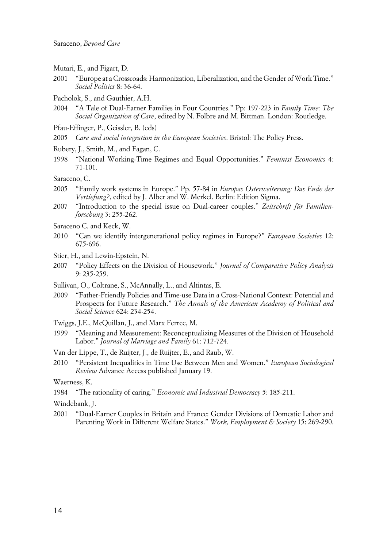- Mutari, E., and Figart, D.
- 2001 "Europe at a Crossroads: Harmonization, Liberalization, and the Gender of Work Time." *Social Politics* 8: 36-64.
- Pacholok, S., and Gauthier, A.H.
- 2004 "A Tale of Dual-Earner Families in Four Countries." Pp: 197-223 in *Family Time: The Social Organization of Care*, edited by N. Folbre and M. Bittman. London: Routledge.
- Pfau-Effinger, P., Geissler, B. (eds)
- 2005 *Care and social integration in the European Societies*. Bristol: The Policy Press.
- Rubery, J., Smith, M., and Fagan, C.
- 1998 "National Working-Time Regimes and Equal Opportunities." *Feminist Economics* 4: 71-101.

Saraceno, C.

- 2005 "Family work systems in Europe." Pp. 57-84 in *Europas Osterweiterung: Das Ende der Vertiefung?*, edited by J. Alber and W. Merkel. Berlin: Edition Sigma.
- 2007 "Introduction to the special issue on Dual-career couples." *Zeitschrift für Familienforschung* 3: 255-262.
- Saraceno C. and Keck, W.
- 2010 "Can we identify intergenerational policy regimes in Europe?" *European Societies* 12: 675-696.
- Stier, H., and Lewin-Epstein, N.
- 2007 "Policy Effects on the Division of Housework." *Journal of Comparative Policy Analysis* 9: 235-259.
- Sullivan, O., Coltrane, S., McAnnally, L., and Altintas, E.
- 2009 "Father-Friendly Policies and Time-use Data in a Cross-National Context: Potential and Prospects for Future Research." *The Annals of the American Academy of Political and Social Science* 624: 234-254.

Twiggs, J.E., McQuillan, J., and Marx Ferree, M.

- 1999 "Meaning and Measurement: Reconceptualizing Measures of the Division of Household Labor." *Journal of Marriage and Family* 61: 712-724.
- Van der Lippe, T., de Ruijter, J., de Ruijter, E., and Raub, W.
- 2010 "Persistent Inequalities in Time Use Between Men and Women." *European Sociological Review* Advance Access published January 19.

Waerness, K.

1984 "The rationality of caring." *Economic and Industrial Democracy* 5: 185-211.

Windebank, J.

2001 "Dual-Earner Couples in Britain and France: Gender Divisions of Domestic Labor and Parenting Work in Different Welfare States." *Work, Employment & Society* 15: 269-290.